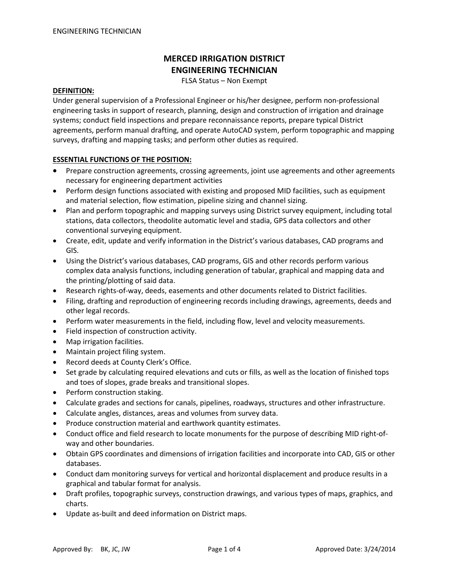# **MERCED IRRIGATION DISTRICT ENGINEERING TECHNICIAN**

FLSA Status – Non Exempt

## **DEFINITION:**

Under general supervision of a Professional Engineer or his/her designee, perform non-professional engineering tasks in support of research, planning, design and construction of irrigation and drainage systems; conduct field inspections and prepare reconnaissance reports, prepare typical District agreements, perform manual drafting, and operate AutoCAD system, perform topographic and mapping surveys, drafting and mapping tasks; and perform other duties as required.

# **ESSENTIAL FUNCTIONS OF THE POSITION:**

- Prepare construction agreements, crossing agreements, joint use agreements and other agreements necessary for engineering department activities
- Perform design functions associated with existing and proposed MID facilities, such as equipment and material selection, flow estimation, pipeline sizing and channel sizing.
- Plan and perform topographic and mapping surveys using District survey equipment, including total stations, data collectors, theodolite automatic level and stadia, GPS data collectors and other conventional surveying equipment.
- Create, edit, update and verify information in the District's various databases, CAD programs and GIS.
- Using the District's various databases, CAD programs, GIS and other records perform various complex data analysis functions, including generation of tabular, graphical and mapping data and the printing/plotting of said data.
- Research rights-of-way, deeds, easements and other documents related to District facilities.
- Filing, drafting and reproduction of engineering records including drawings, agreements, deeds and other legal records.
- Perform water measurements in the field, including flow, level and velocity measurements.
- Field inspection of construction activity.
- Map irrigation facilities.
- Maintain project filing system.
- Record deeds at County Clerk's Office.
- Set grade by calculating required elevations and cuts or fills, as well as the location of finished tops and toes of slopes, grade breaks and transitional slopes.
- Perform construction staking.
- Calculate grades and sections for canals, pipelines, roadways, structures and other infrastructure.
- Calculate angles, distances, areas and volumes from survey data.
- Produce construction material and earthwork quantity estimates.
- Conduct office and field research to locate monuments for the purpose of describing MID right-ofway and other boundaries.
- Obtain GPS coordinates and dimensions of irrigation facilities and incorporate into CAD, GIS or other databases.
- Conduct dam monitoring surveys for vertical and horizontal displacement and produce results in a graphical and tabular format for analysis.
- Draft profiles, topographic surveys, construction drawings, and various types of maps, graphics, and charts.
- Update as-built and deed information on District maps.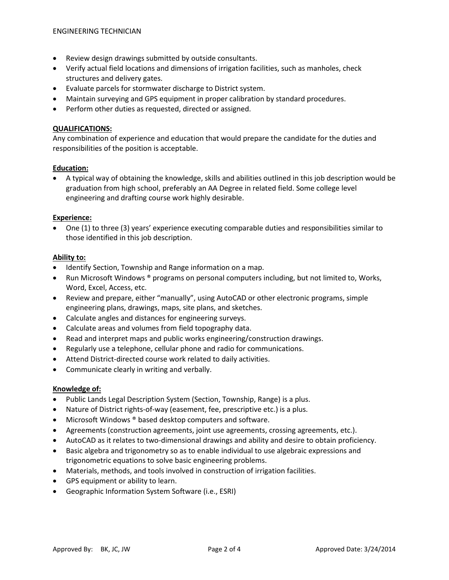- Review design drawings submitted by outside consultants.
- Verify actual field locations and dimensions of irrigation facilities, such as manholes, check structures and delivery gates.
- Evaluate parcels for stormwater discharge to District system.
- Maintain surveying and GPS equipment in proper calibration by standard procedures.
- Perform other duties as requested, directed or assigned.

# **QUALIFICATIONS:**

Any combination of experience and education that would prepare the candidate for the duties and responsibilities of the position is acceptable.

## **Education:**

• A typical way of obtaining the knowledge, skills and abilities outlined in this job description would be graduation from high school, preferably an AA Degree in related field. Some college level engineering and drafting course work highly desirable.

#### **Experience:**

• One (1) to three (3) years' experience executing comparable duties and responsibilities similar to those identified in this job description.

#### **Ability to:**

- Identify Section, Township and Range information on a map.
- Run Microsoft Windows ® programs on personal computers including, but not limited to, Works, Word, Excel, Access, etc.
- Review and prepare, either "manually", using AutoCAD or other electronic programs, simple engineering plans, drawings, maps, site plans, and sketches.
- Calculate angles and distances for engineering surveys.
- Calculate areas and volumes from field topography data.
- Read and interpret maps and public works engineering/construction drawings.
- Regularly use a telephone, cellular phone and radio for communications.
- Attend District-directed course work related to daily activities.
- Communicate clearly in writing and verbally.

## **Knowledge of:**

- Public Lands Legal Description System (Section, Township, Range) is a plus.
- Nature of District rights-of-way (easement, fee, prescriptive etc.) is a plus.
- Microsoft Windows ® based desktop computers and software.
- Agreements (construction agreements, joint use agreements, crossing agreements, etc.).
- AutoCAD as it relates to two-dimensional drawings and ability and desire to obtain proficiency.
- Basic algebra and trigonometry so as to enable individual to use algebraic expressions and trigonometric equations to solve basic engineering problems.
- Materials, methods, and tools involved in construction of irrigation facilities.
- GPS equipment or ability to learn.
- Geographic Information System Software (i.e., ESRI)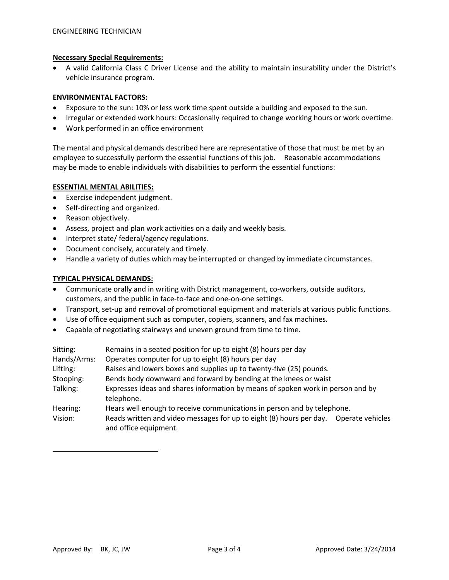# **Necessary Special Requirements:**

• A valid California Class C Driver License and the ability to maintain insurability under the District's vehicle insurance program.

## **ENVIRONMENTAL FACTORS:**

- Exposure to the sun: 10% or less work time spent outside a building and exposed to the sun.
- Irregular or extended work hours: Occasionally required to change working hours or work overtime.
- Work performed in an office environment

The mental and physical demands described here are representative of those that must be met by an employee to successfully perform the essential functions of this job. Reasonable accommodations may be made to enable individuals with disabilities to perform the essential functions:

# **ESSENTIAL MENTAL ABILITIES:**

- Exercise independent judgment.
- Self-directing and organized.
- Reason objectively.
- Assess, project and plan work activities on a daily and weekly basis.
- Interpret state/ federal/agency regulations.
- Document concisely, accurately and timely.
- Handle a variety of duties which may be interrupted or changed by immediate circumstances.

# **TYPICAL PHYSICAL DEMANDS:**

- Communicate orally and in writing with District management, co-workers, outside auditors, customers, and the public in face-to-face and one-on-one settings.
- Transport, set-up and removal of promotional equipment and materials at various public functions.
- Use of office equipment such as computer, copiers, scanners, and fax machines.
- Capable of negotiating stairways and uneven ground from time to time.

| Sitting:    | Remains in a seated position for up to eight (8) hours per day                                                 |
|-------------|----------------------------------------------------------------------------------------------------------------|
| Hands/Arms: | Operates computer for up to eight (8) hours per day                                                            |
| Lifting:    | Raises and lowers boxes and supplies up to twenty-five (25) pounds.                                            |
| Stooping:   | Bends body downward and forward by bending at the knees or waist                                               |
| Talking:    | Expresses ideas and shares information by means of spoken work in person and by<br>telephone.                  |
| Hearing:    | Hears well enough to receive communications in person and by telephone.                                        |
| Vision:     | Reads written and video messages for up to eight (8) hours per day.  Operate vehicles<br>and office equipment. |